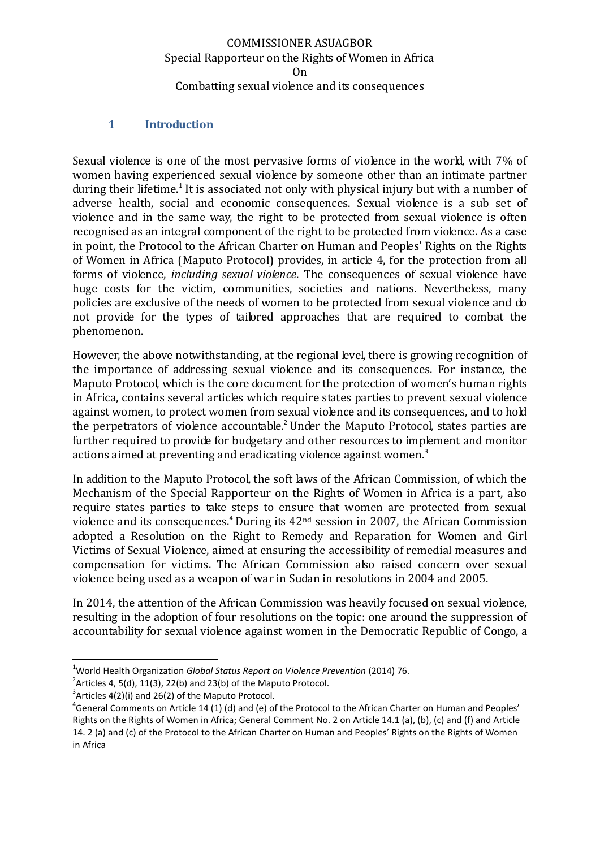## **1 Introduction**

Sexual violence is one of the most pervasive forms of violence in the world, with 7% of women having experienced sexual violence by someone other than an intimate partner during their lifetime.<sup>1</sup> It is associated not only with physical injury but with a number of adverse health, social and economic consequences. Sexual violence is a sub set of violence and in the same way, the right to be protected from sexual violence is often recognised as an integral component of the right to be protected from violence. As a case in point, the Protocol to the African Charter on Human and Peoples' Rights on the Rights of Women in Africa (Maputo Protocol) provides, in article 4, for the protection from all forms of violence, *including sexual violence*. The consequences of sexual violence have huge costs for the victim, communities, societies and nations. Nevertheless, many policies are exclusive of the needs of women to be protected from sexual violence and do not provide for the types of tailored approaches that are required to combat the phenomenon.

However, the above notwithstanding, at the regional level, there is growing recognition of the importance of addressing sexual violence and its consequences. For instance, the Maputo Protocol, which is the core document for the protection of women's human rights in Africa, contains several articles which require states parties to prevent sexual violence against women, to protect women from sexual violence and its consequences, and to hold the perpetrators of violence accountable.<sup>2</sup> Under the Maputo Protocol, states parties are further required to provide for budgetary and other resources to implement and monitor actions aimed at preventing and eradicating violence against women.<sup>3</sup>

In addition to the Maputo Protocol, the soft laws of the African Commission, of which the Mechanism of the Special Rapporteur on the Rights of Women in Africa is a part, also require states parties to take steps to ensure that women are protected from sexual violence and its consequences.<sup>4</sup> During its  $42<sup>nd</sup>$  session in 2007, the African Commission adopted a Resolution on the Right to Remedy and Reparation for Women and Girl Victims of Sexual Violence, aimed at ensuring the accessibility of remedial measures and compensation for victims. The African Commission also raised concern over sexual violence being used as a weapon of war in Sudan in resolutions in 2004 and 2005.

In 2014, the attention of the African Commission was heavily focused on sexual violence, resulting in the adoption of four resolutions on the topic: one around the suppression of accountability for sexual violence against women in the Democratic Republic of Congo, a

<sup>1</sup> <sup>1</sup>World Health Organization *Global Status Report on Violence Prevention* (2014) 76.

<sup>&</sup>lt;sup>2</sup> Articles 4, 5(d), 11(3), 22(b) and 23(b) of the Maputo Protocol.

 $3$ Articles 4(2)(i) and 26(2) of the Maputo Protocol.

 ${}^{4}$ General Comments on Article 14 (1) (d) and (e) of the Protocol to the African Charter on Human and Peoples' Rights on the Rights of Women in Africa; General Comment No. 2 on Article 14.1 (a), (b), (c) and (f) and Article 14. 2 (a) and (c) of the Protocol to the African Charter on Human and Peoples' Rights on the Rights of Women in Africa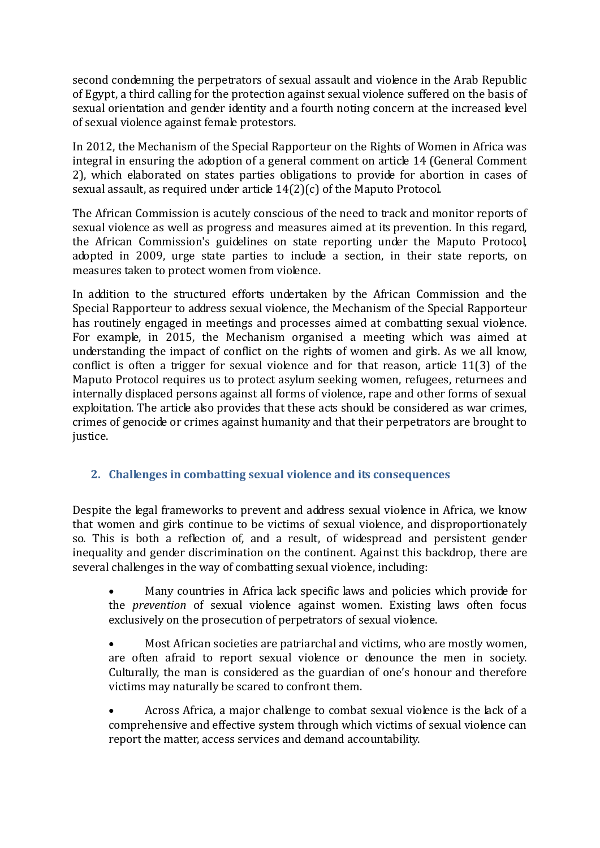second condemning the perpetrators of sexual assault and violence in the Arab Republic of Egypt, a third calling for the protection against sexual violence suffered on the basis of sexual orientation and gender identity and a fourth noting concern at the increased level of sexual violence against female protestors.

In 2012, the Mechanism of the Special Rapporteur on the Rights of Women in Africa was integral in ensuring the adoption of a general comment on article 14 (General Comment 2), which elaborated on states parties obligations to provide for abortion in cases of sexual assault, as required under article  $14(2)(c)$  of the Maputo Protocol.

The African Commission is acutely conscious of the need to track and monitor reports of sexual violence as well as progress and measures aimed at its prevention. In this regard, the African Commission's guidelines on state reporting under the Maputo Protocol, adopted in 2009, urge state parties to include a section, in their state reports, on measures taken to protect women from violence.

In addition to the structured efforts undertaken by the African Commission and the Special Rapporteur to address sexual violence, the Mechanism of the Special Rapporteur has routinely engaged in meetings and processes aimed at combatting sexual violence. For example, in 2015, the Mechanism organised a meeting which was aimed at understanding the impact of conflict on the rights of women and girls. As we all know, conflict is often a trigger for sexual violence and for that reason, article  $11(3)$  of the Maputo Protocol requires us to protect asylum seeking women, refugees, returnees and internally displaced persons against all forms of violence, rape and other forms of sexual exploitation. The article also provides that these acts should be considered as war crimes, crimes of genocide or crimes against humanity and that their perpetrators are brought to justice.

## **2. Challenges in combatting sexual violence and its consequences**

Despite the legal frameworks to prevent and address sexual violence in Africa, we know that women and girls continue to be victims of sexual violence, and disproportionately so. This is both a reflection of, and a result, of widespread and persistent gender inequality and gender discrimination on the continent. Against this backdrop, there are several challenges in the way of combatting sexual violence, including:

 Many countries in Africa lack specific laws and policies which provide for the *prevention* of sexual violence against women. Existing laws often focus exclusively on the prosecution of perpetrators of sexual violence.

 Most African societies are patriarchal and victims, who are mostly women, are often afraid to report sexual violence or denounce the men in society. Culturally, the man is considered as the guardian of one's honour and therefore victims may naturally be scared to confront them.

 Across Africa, a major challenge to combat sexual violence is the lack of a comprehensive and effective system through which victims of sexual violence can report the matter, access services and demand accountability.